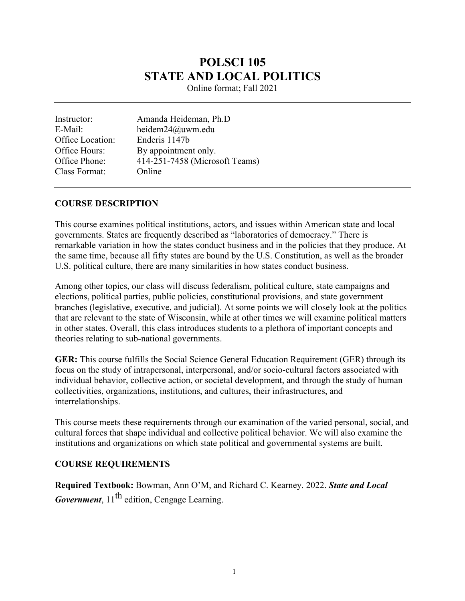# **POLSCI 105 STATE AND LOCAL POLITICS**

Online format; Fall 2021

Instructor: Amanda Heideman, Ph.D E-Mail: heidem24@uwm.edu Office Location: Enderis 1147b Office Hours: By appointment only. Office Phone: 414-251-7458 (Microsoft Teams) Class Format: Online

#### **COURSE DESCRIPTION**

This course examines political institutions, actors, and issues within American state and local governments. States are frequently described as "laboratories of democracy." There is remarkable variation in how the states conduct business and in the policies that they produce. At the same time, because all fifty states are bound by the U.S. Constitution, as well as the broader U.S. political culture, there are many similarities in how states conduct business.

Among other topics, our class will discuss federalism, political culture, state campaigns and elections, political parties, public policies, constitutional provisions, and state government branches (legislative, executive, and judicial). At some points we will closely look at the politics that are relevant to the state of Wisconsin, while at other times we will examine political matters in other states. Overall, this class introduces students to a plethora of important concepts and theories relating to sub-national governments.

**GER:** This course fulfills the Social Science General Education Requirement (GER) through its focus on the study of intrapersonal, interpersonal, and/or socio-cultural factors associated with individual behavior, collective action, or societal development, and through the study of human collectivities, organizations, institutions, and cultures, their infrastructures, and interrelationships.

This course meets these requirements through our examination of the varied personal, social, and cultural forces that shape individual and collective political behavior. We will also examine the institutions and organizations on which state political and governmental systems are built.

#### **COURSE REQUIREMENTS**

**Required Textbook:** Bowman, Ann O'M, and Richard C. Kearney. 2022. *State and Local Government*, 11<sup>th</sup> edition, Cengage Learning.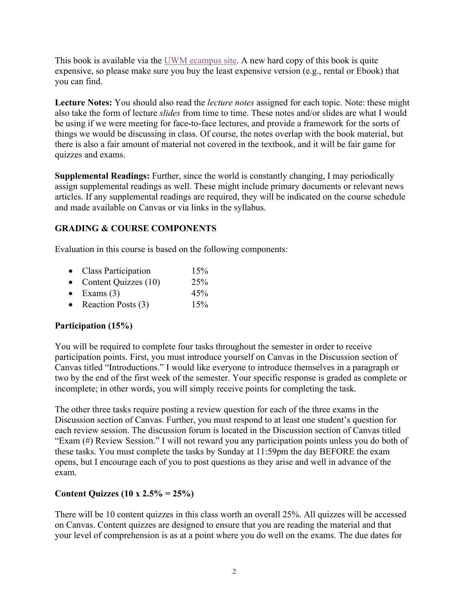This book is available via the UWM ecampus site. A new hard copy of this book is quite expensive, so please make sure you buy the least expensive version (e.g., rental or Ebook) that you can find.

**Lecture Notes:** You should also read the *lecture notes* assigned for each topic. Note: these might also take the form of lecture *slides* from time to time. These notes and/or slides are what I would be using if we were meeting for face-to-face lectures, and provide a framework for the sorts of things we would be discussing in class. Of course, the notes overlap with the book material, but there is also a fair amount of material not covered in the textbook, and it will be fair game for quizzes and exams.

**Supplemental Readings:** Further, since the world is constantly changing, I may periodically assign supplemental readings as well. These might include primary documents or relevant news articles. If any supplemental readings are required, they will be indicated on the course schedule and made available on Canvas or via links in the syllabus.

### **GRADING & COURSE COMPONENTS**

Evaluation in this course is based on the following components:

| $\bullet$ | Class Participation  | 15% |
|-----------|----------------------|-----|
| $\bullet$ | Content Quizzes (10) | 25% |
| $\bullet$ | Exams $(3)$          | 45% |
| $\bullet$ | Reaction Posts (3)   | 15% |

## **Participation (15%)**

You will be required to complete four tasks throughout the semester in order to receive participation points. First, you must introduce yourself on Canvas in the Discussion section of Canvas titled "Introductions." I would like everyone to introduce themselves in a paragraph or two by the end of the first week of the semester. Your specific response is graded as complete or incomplete; in other words, you will simply receive points for completing the task.

The other three tasks require posting a review question for each of the three exams in the Discussion section of Canvas. Further, you must respond to at least one student's question for each review session. The discussion forum is located in the Discussion section of Canvas titled "Exam (#) Review Session." I will not reward you any participation points unless you do both of these tasks. You must complete the tasks by Sunday at 11:59pm the day BEFORE the exam opens, but I encourage each of you to post questions as they arise and well in advance of the exam.

## **Content Quizzes (10 x 2.5% = 25%)**

There will be 10 content quizzes in this class worth an overall 25%. All quizzes will be accessed on Canvas. Content quizzes are designed to ensure that you are reading the material and that your level of comprehension is as at a point where you do well on the exams. The due dates for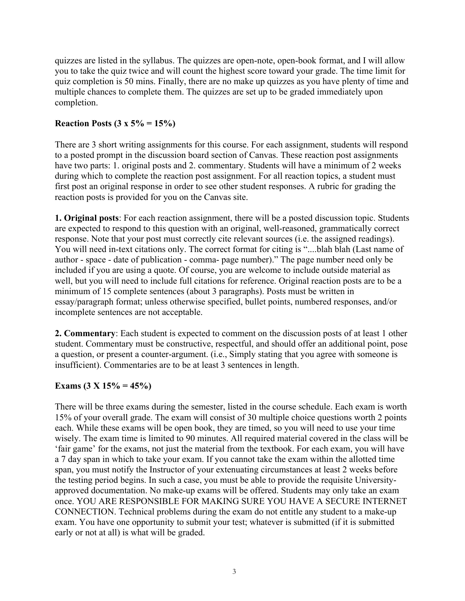quizzes are listed in the syllabus. The quizzes are open-note, open-book format, and I will allow you to take the quiz twice and will count the highest score toward your grade. The time limit for quiz completion is 50 mins. Finally, there are no make up quizzes as you have plenty of time and multiple chances to complete them. The quizzes are set up to be graded immediately upon completion.

#### **Reaction Posts (3 x 5% = 15%)**

There are 3 short writing assignments for this course. For each assignment, students will respond to a posted prompt in the discussion board section of Canvas. These reaction post assignments have two parts: 1. original posts and 2. commentary. Students will have a minimum of 2 weeks during which to complete the reaction post assignment. For all reaction topics, a student must first post an original response in order to see other student responses. A rubric for grading the reaction posts is provided for you on the Canvas site.

**1. Original posts**: For each reaction assignment, there will be a posted discussion topic. Students are expected to respond to this question with an original, well-reasoned, grammatically correct response. Note that your post must correctly cite relevant sources (i.e. the assigned readings). You will need in-text citations only. The correct format for citing is "....blah blah (Last name of author - space - date of publication - comma- page number)." The page number need only be included if you are using a quote. Of course, you are welcome to include outside material as well, but you will need to include full citations for reference. Original reaction posts are to be a minimum of 15 complete sentences (about 3 paragraphs). Posts must be written in essay/paragraph format; unless otherwise specified, bullet points, numbered responses, and/or incomplete sentences are not acceptable.

**2. Commentary**: Each student is expected to comment on the discussion posts of at least 1 other student. Commentary must be constructive, respectful, and should offer an additional point, pose a question, or present a counter-argument. (i.e., Simply stating that you agree with someone is insufficient). Commentaries are to be at least 3 sentences in length.

#### **Exams (3 X 15% = 45%)**

There will be three exams during the semester, listed in the course schedule. Each exam is worth 15% of your overall grade. The exam will consist of 30 multiple choice questions worth 2 points each. While these exams will be open book, they are timed, so you will need to use your time wisely. The exam time is limited to 90 minutes. All required material covered in the class will be 'fair game' for the exams, not just the material from the textbook. For each exam, you will have a 7 day span in which to take your exam. If you cannot take the exam within the allotted time span, you must notify the Instructor of your extenuating circumstances at least 2 weeks before the testing period begins. In such a case, you must be able to provide the requisite Universityapproved documentation. No make-up exams will be offered. Students may only take an exam once. YOU ARE RESPONSIBLE FOR MAKING SURE YOU HAVE A SECURE INTERNET CONNECTION. Technical problems during the exam do not entitle any student to a make-up exam. You have one opportunity to submit your test; whatever is submitted (if it is submitted early or not at all) is what will be graded.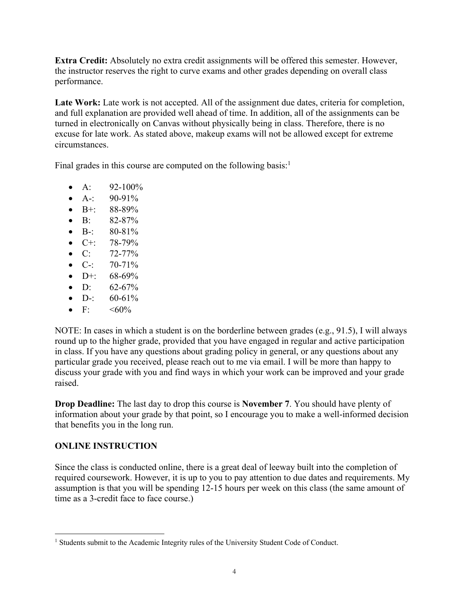**Extra Credit:** Absolutely no extra credit assignments will be offered this semester. However, the instructor reserves the right to curve exams and other grades depending on overall class performance.

Late Work: Late work is not accepted. All of the assignment due dates, criteria for completion, and full explanation are provided well ahead of time. In addition, all of the assignments can be turned in electronically on Canvas without physically being in class. Therefore, there is no excuse for late work. As stated above, makeup exams will not be allowed except for extreme circumstances.

Final grades in this course are computed on the following basis:<sup>1</sup>

- A:  $92-100\%$
- A-:  $90-91\%$
- B+: 88-89%
- B:  $82-87%$
- B-:  $80-81\%$
- $C+$ : 78-79%
- C:  $72-77\%$
- C-:  $70-71\%$
- $D^+$ : 68-69%
- D:  $62-67\%$
- D-:  $60-61\%$
- F:  $<60\%$

NOTE: In cases in which a student is on the borderline between grades (e.g., 91.5), I will always round up to the higher grade, provided that you have engaged in regular and active participation in class. If you have any questions about grading policy in general, or any questions about any particular grade you received, please reach out to me via email. I will be more than happy to discuss your grade with you and find ways in which your work can be improved and your grade raised.

**Drop Deadline:** The last day to drop this course is **November 7**. You should have plenty of information about your grade by that point, so I encourage you to make a well-informed decision that benefits you in the long run.

#### **ONLINE INSTRUCTION**

Since the class is conducted online, there is a great deal of leeway built into the completion of required coursework. However, it is up to you to pay attention to due dates and requirements. My assumption is that you will be spending 12-15 hours per week on this class (the same amount of time as a 3-credit face to face course.)

<sup>&</sup>lt;sup>1</sup> Students submit to the Academic Integrity rules of the University Student Code of Conduct.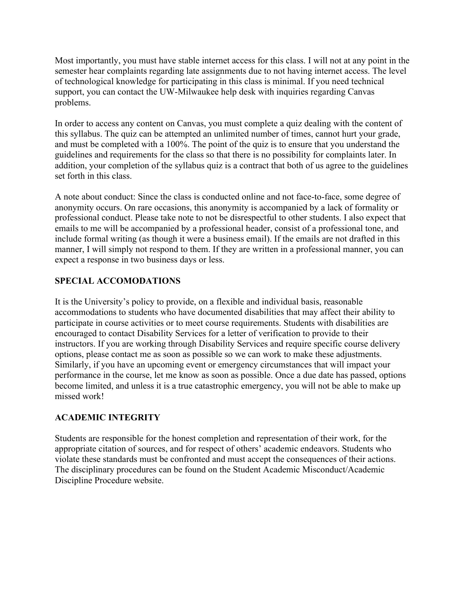Most importantly, you must have stable internet access for this class. I will not at any point in the semester hear complaints regarding late assignments due to not having internet access. The level of technological knowledge for participating in this class is minimal. If you need technical support, you can contact the UW-Milwaukee help desk with inquiries regarding Canvas problems.

In order to access any content on Canvas, you must complete a quiz dealing with the content of this syllabus. The quiz can be attempted an unlimited number of times, cannot hurt your grade, and must be completed with a 100%. The point of the quiz is to ensure that you understand the guidelines and requirements for the class so that there is no possibility for complaints later. In addition, your completion of the syllabus quiz is a contract that both of us agree to the guidelines set forth in this class.

A note about conduct: Since the class is conducted online and not face-to-face, some degree of anonymity occurs. On rare occasions, this anonymity is accompanied by a lack of formality or professional conduct. Please take note to not be disrespectful to other students. I also expect that emails to me will be accompanied by a professional header, consist of a professional tone, and include formal writing (as though it were a business email). If the emails are not drafted in this manner, I will simply not respond to them. If they are written in a professional manner, you can expect a response in two business days or less.

## **SPECIAL ACCOMODATIONS**

It is the University's policy to provide, on a flexible and individual basis, reasonable accommodations to students who have documented disabilities that may affect their ability to participate in course activities or to meet course requirements. Students with disabilities are encouraged to contact Disability Services for a letter of verification to provide to their instructors. If you are working through Disability Services and require specific course delivery options, please contact me as soon as possible so we can work to make these adjustments. Similarly, if you have an upcoming event or emergency circumstances that will impact your performance in the course, let me know as soon as possible. Once a due date has passed, options become limited, and unless it is a true catastrophic emergency, you will not be able to make up missed work!

## **ACADEMIC INTEGRITY**

Students are responsible for the honest completion and representation of their work, for the appropriate citation of sources, and for respect of others' academic endeavors. Students who violate these standards must be confronted and must accept the consequences of their actions. The disciplinary procedures can be found on the Student Academic Misconduct/Academic Discipline Procedure website.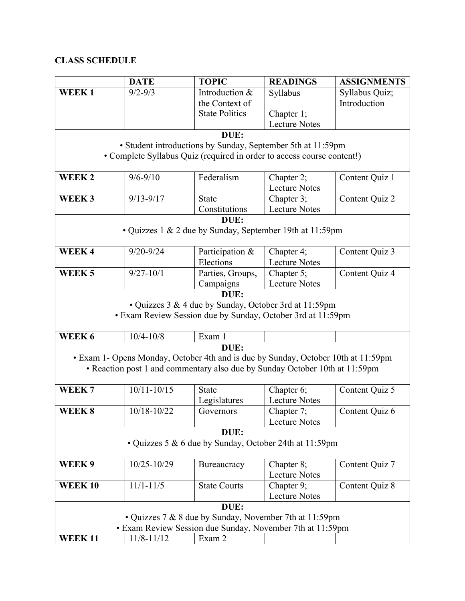## **CLASS SCHEDULE**

|                                                                        | <b>DATE</b>     | <b>TOPIC</b>                                                                      | <b>READINGS</b>                    | <b>ASSIGNMENTS</b> |  |  |  |  |  |
|------------------------------------------------------------------------|-----------------|-----------------------------------------------------------------------------------|------------------------------------|--------------------|--|--|--|--|--|
| <b>WEEK1</b>                                                           | $9/2 - 9/3$     | Introduction &                                                                    | Syllabus                           | Syllabus Quiz;     |  |  |  |  |  |
|                                                                        |                 | the Context of                                                                    |                                    | Introduction       |  |  |  |  |  |
|                                                                        |                 | <b>State Politics</b>                                                             | Chapter 1;                         |                    |  |  |  |  |  |
|                                                                        |                 |                                                                                   | <b>Lecture Notes</b>               |                    |  |  |  |  |  |
| DUE:                                                                   |                 |                                                                                   |                                    |                    |  |  |  |  |  |
| • Student introductions by Sunday, September 5th at 11:59pm            |                 |                                                                                   |                                    |                    |  |  |  |  |  |
| • Complete Syllabus Quiz (required in order to access course content!) |                 |                                                                                   |                                    |                    |  |  |  |  |  |
|                                                                        |                 | Federalism                                                                        |                                    |                    |  |  |  |  |  |
| WEEK <sub>2</sub>                                                      | $9/6 - 9/10$    |                                                                                   | Chapter 2;<br><b>Lecture Notes</b> | Content Quiz 1     |  |  |  |  |  |
| WEEK <sub>3</sub>                                                      | $9/13 - 9/17$   | <b>State</b>                                                                      |                                    |                    |  |  |  |  |  |
|                                                                        |                 | Constitutions                                                                     | Chapter 3;<br><b>Lecture Notes</b> | Content Quiz 2     |  |  |  |  |  |
|                                                                        |                 |                                                                                   |                                    |                    |  |  |  |  |  |
| DUE:                                                                   |                 |                                                                                   |                                    |                    |  |  |  |  |  |
| • Quizzes 1 & 2 due by Sunday, September 19th at 11:59pm               |                 |                                                                                   |                                    |                    |  |  |  |  |  |
| WEEK4                                                                  | $9/20 - 9/24$   | Participation &                                                                   | Chapter 4;                         | Content Quiz 3     |  |  |  |  |  |
|                                                                        |                 | Elections                                                                         | <b>Lecture Notes</b>               |                    |  |  |  |  |  |
| WEEK <sub>5</sub>                                                      | $9/27 - 10/1$   | Parties, Groups,                                                                  | Chapter 5;                         | Content Quiz 4     |  |  |  |  |  |
|                                                                        |                 | Campaigns                                                                         | <b>Lecture Notes</b>               |                    |  |  |  |  |  |
|                                                                        |                 | DUE:                                                                              |                                    |                    |  |  |  |  |  |
|                                                                        |                 | • Quizzes 3 & 4 due by Sunday, October 3rd at 11:59pm                             |                                    |                    |  |  |  |  |  |
|                                                                        |                 | • Exam Review Session due by Sunday, October 3rd at 11:59pm                       |                                    |                    |  |  |  |  |  |
|                                                                        |                 |                                                                                   |                                    |                    |  |  |  |  |  |
| WEEK 6                                                                 | $10/4 - 10/8$   | Exam 1                                                                            |                                    |                    |  |  |  |  |  |
|                                                                        |                 | DUE:                                                                              |                                    |                    |  |  |  |  |  |
|                                                                        |                 | • Exam 1- Opens Monday, October 4th and is due by Sunday, October 10th at 11:59pm |                                    |                    |  |  |  |  |  |
|                                                                        |                 | • Reaction post 1 and commentary also due by Sunday October 10th at 11:59pm       |                                    |                    |  |  |  |  |  |
|                                                                        |                 |                                                                                   |                                    |                    |  |  |  |  |  |
| WEEK <sub>7</sub>                                                      | $10/11 - 10/15$ | <b>State</b>                                                                      | Chapter 6;                         | Content Quiz 5     |  |  |  |  |  |
|                                                                        |                 | Legislatures                                                                      | <b>Lecture Notes</b>               |                    |  |  |  |  |  |
| WEEK <sub>8</sub>                                                      | 10/18-10/22     | Governors                                                                         | Chapter 7;                         | Content Quiz 6     |  |  |  |  |  |
|                                                                        |                 |                                                                                   | <b>Lecture Notes</b>               |                    |  |  |  |  |  |
| DUE:                                                                   |                 |                                                                                   |                                    |                    |  |  |  |  |  |
| • Quizzes 5 & 6 due by Sunday, October 24th at 11:59pm                 |                 |                                                                                   |                                    |                    |  |  |  |  |  |
|                                                                        |                 |                                                                                   |                                    |                    |  |  |  |  |  |
| WEEK 9                                                                 | 10/25-10/29     | Bureaucracy                                                                       | Chapter 8;                         | Content Quiz 7     |  |  |  |  |  |
|                                                                        |                 |                                                                                   | <b>Lecture Notes</b>               |                    |  |  |  |  |  |
| <b>WEEK10</b>                                                          | $11/1 - 11/5$   | <b>State Courts</b>                                                               | Chapter 9;                         | Content Quiz 8     |  |  |  |  |  |
|                                                                        |                 |                                                                                   | <b>Lecture Notes</b>               |                    |  |  |  |  |  |
|                                                                        |                 | DUE:                                                                              |                                    |                    |  |  |  |  |  |
| • Quizzes 7 & 8 due by Sunday, November 7th at 11:59pm                 |                 |                                                                                   |                                    |                    |  |  |  |  |  |
| • Exam Review Session due Sunday, November 7th at 11:59pm              |                 |                                                                                   |                                    |                    |  |  |  |  |  |
| <b>WEEK11</b>                                                          | 11/8-11/12      | Exam 2                                                                            |                                    |                    |  |  |  |  |  |